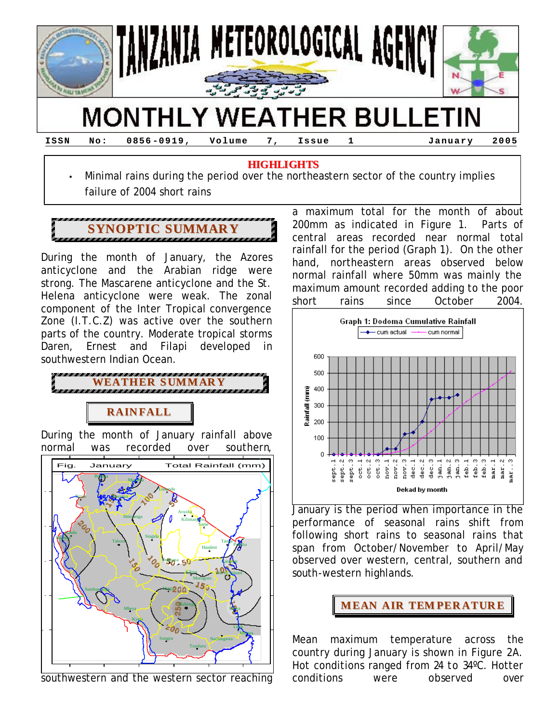

# **MONTHLY WEATHER BULLETIN**

**ISSN No: 0856 -0919, Volume 7, Issue 1 January 2005**

#### **HIGHLIGHTS**

• Minimal rains during the period over the northeastern sector of the country implies failure of 2004 short rains



During the month of January, the Azores anticyclone and the Arabian ridge were strong. The Mascarene anticyclone and the St. Helena anticyclone were weak. The zonal component of the Inter Tropical convergence Zone (I.T.C.Z) was active over the southern parts of the country. Moderate tropical storms Daren, Ernest and Filapi developed in southwestern Indian Ocean.



### **RAIN FALL**

During the month of January rainfall above normal was recorded over southern,



southwestern and the western sector reaching

a maximum total for the month of about 200mm as indicated in Figure 1. Parts of central areas recorded near normal total rainfall for the period (Graph 1). On the other hand, northeastern areas observed below normal rainfall where 50mm was mainly the maximum amount recorded adding to the poor short rains since October 2004.



January is the period when importance in the performance of seasonal rains shift from following short rains to seasonal rains that span from October/November to April/May observed over western, central, southern and south-western highlands.



Mean maximum temperature across the country during January is shown in Figure 2A. Hot conditions ranged from 24 to 34ºC. Hotter conditions were observed over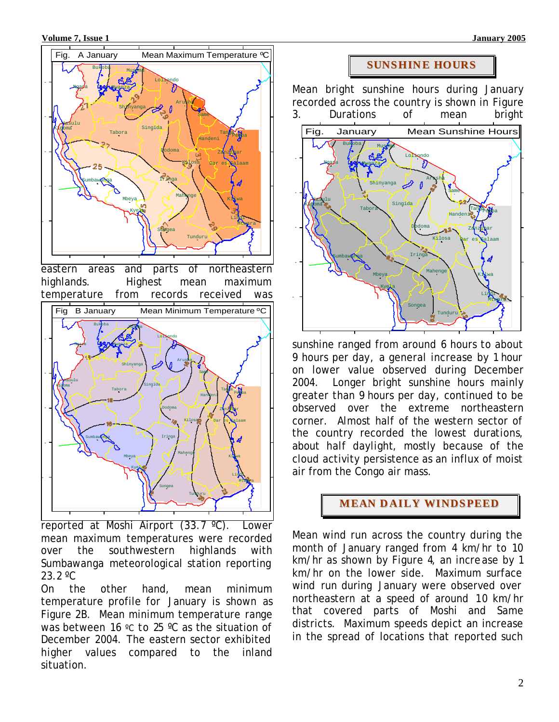**Volume 7, Issue 1 January 2005** 



eastern areas and parts of northeastern highlands. Highest mean maximum temperature from records received was



reported at Moshi Airport (33.7 ºC). Lower mean maximum temperatures were recorded over the southwestern highlands with Sumbawanga meteorological station reporting 23.2 ºC

On the other hand, mean minimum temperature profile for January is shown as Figure 2B. Mean minimum temperature range was between 16 °C to 25 °C as the situation of December 2004. The eastern sector exhibited higher values compared to the inland situation.

#### **SUNSHIN E HOURS**

Mean bright sunshine hours during January recorded across the country is shown in Figure 3. Durations of mean bright



sunshine ranged from around 6 hours to about 9 hours per day, a general increase by 1 hour on lower value observed during December 2004. Longer bright sunshine hours mainly greater than 9 hours per day, continued to be observed over the extreme northeastern corner. Almost half of the western sector of the country recorded the lowest durations, about half daylight, mostly because of the cloud activity persistence as an influx of moist air from the Congo air mass.

#### **MEAN D AILY WINDSPEED**

Mean wind run across the country during the month of January ranged from 4 km/hr to 10 km/hr as shown by Figure 4, an increase by 1 km/hr on the lower side. Maximum surface wind run during January were observed over northeastern at a speed of around 10 km/hr that covered parts of Moshi and Same districts. Maximum speeds depict an increase in the spread of locations that reported such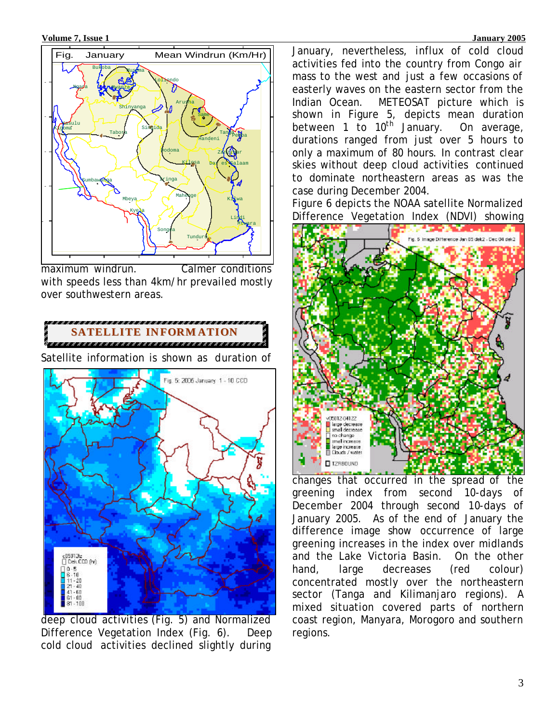

maximum windrun. Calmer conditions with speeds less than 4km/hr prevailed mostly over southwestern areas.

## **SATELLITE IN FORM ATION**

Satellite information is shown as duration of



deep cloud activities (Fig. 5) and Normalized Difference Vegetation Index (Fig. 6). Deep cold cloud activities declined slightly during

January, nevertheless, influx of cold cloud activities fed into the country from Congo air mass to the west and just a few occasions of easterly waves on the eastern sector from the Indian Ocean. METEOSAT picture which is shown in Figure 5, depicts mean duration between 1 to 10<sup>th</sup> January. On average, durations ranged from just over 5 hours to only a maximum of 80 hours. In contrast clear skies without deep cloud activities continued to dominate northeastern areas as was the case during December 2004.

Figure 6 depicts the NOAA satellite Normalized Difference Vegetation Index (NDVI) showing



changes that occurred in the spread of the greening index from second 10-days of December 2004 through second 10-days of January 2005. As of the end of January the difference image show occurrence of large greening increases in the index over midlands and the Lake Victoria Basin. On the other hand, large decreases (red colour) concentrated mostly over the northeastern sector (Tanga and Kilimanjaro regions). A mixed situation covered parts of northern coast region, Manyara, Morogoro and southern regions.